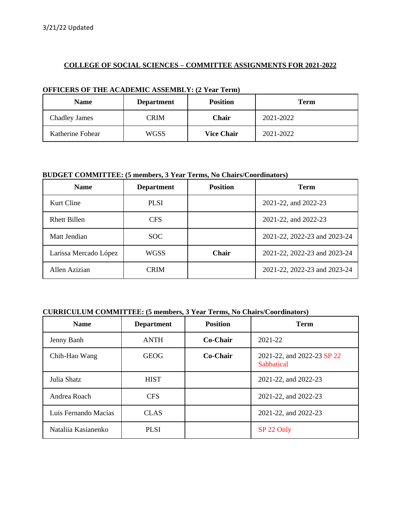### **COLLEGE OF SOCIAL SCIENCES – COMMITTEE ASSIGNMENTS FOR 2021-2022**

| <b>Name</b>          | <b>Department</b> | <b>Position</b>   | Term      |
|----------------------|-------------------|-------------------|-----------|
| <b>Chadley James</b> | <b>CRIM</b>       | <b>Chair</b>      | 2021-2022 |
| Katherine Fobear     | <b>WGSS</b>       | <b>Vice Chair</b> | 2021-2022 |

### **OFFICERS OF THE ACADEMIC ASSEMBLY: (2 Year Term)**

# **BUDGET COMMITTEE: (5 members, 3 Year Terms, No Chairs/Coordinators)**

| <b>Name</b>           | <b>Department</b> | <b>Position</b> | <b>Term</b>                  |
|-----------------------|-------------------|-----------------|------------------------------|
| Kurt Cline            | <b>PLSI</b>       |                 | 2021-22, and 2022-23         |
| <b>Rhett Billen</b>   | <b>CFS</b>        |                 | 2021-22, and 2022-23         |
| Matt Jendian          | SOC.              |                 | 2021-22, 2022-23 and 2023-24 |
| Larissa Mercado López | <b>WGSS</b>       | <b>Chair</b>    | 2021-22, 2022-23 and 2023-24 |
| Allen Azizian         | <b>CRIM</b>       |                 | 2021-22, 2022-23 and 2023-24 |

# **CURRICULUM COMMITTEE: (5 members, 3 Year Terms, No Chairs/Coordinators)**

| <b>Name</b>          | <b>Department</b> | <b>Position</b> | <b>Term</b>                              |
|----------------------|-------------------|-----------------|------------------------------------------|
| Jenny Banh           | <b>ANTH</b>       | Co-Chair        | 2021-22                                  |
| Chih-Hao Wang        | <b>GEOG</b>       | Co-Chair        | 2021-22, and 2022-23 SP 22<br>Sabbatical |
| Julia Shatz          | <b>HIST</b>       |                 | 2021-22, and 2022-23                     |
| Andrea Roach         | <b>CFS</b>        |                 | 2021-22, and 2022-23                     |
| Luis Fernando Macías | <b>CLAS</b>       |                 | 2021-22, and 2022-23                     |
| Nataliia Kasianenko  | <b>PLSI</b>       |                 | SP 22 Only                               |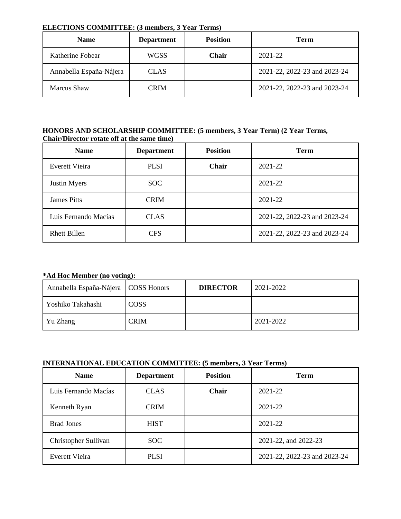# **ELECTIONS COMMITTEE: (3 members, 3 Year Terms)**

| <b>Name</b>             | <b>Department</b> | <b>Position</b> | <b>Term</b>                  |
|-------------------------|-------------------|-----------------|------------------------------|
| Katherine Fobear        | <b>WGSS</b>       | <b>Chair</b>    | 2021-22                      |
| Annabella España-Nájera | <b>CLAS</b>       |                 | 2021-22, 2022-23 and 2023-24 |
| Marcus Shaw             | <b>CRIM</b>       |                 | 2021-22, 2022-23 and 2023-24 |

#### **HONORS AND SCHOLARSHIP COMMITTEE: (5 members, 3 Year Term) (2 Year Terms, Chair/Director rotate off at the same time)**

| <b>Name</b>          | <b>Department</b> | <b>Position</b> | Term                         |
|----------------------|-------------------|-----------------|------------------------------|
| Everett Vieira       | <b>PLSI</b>       | <b>Chair</b>    | 2021-22                      |
| <b>Justin Myers</b>  | <b>SOC</b>        |                 | 2021-22                      |
| <b>James Pitts</b>   | <b>CRIM</b>       |                 | 2021-22                      |
| Luis Fernando Macías | <b>CLAS</b>       |                 | 2021-22, 2022-23 and 2023-24 |
| <b>Rhett Billen</b>  | <b>CFS</b>        |                 | 2021-22, 2022-23 and 2023-24 |

### **\*Ad Hoc Member (no voting):**

| Annabella España-Nájera   COSS Honors |             | <b>DIRECTOR</b> | 2021-2022 |
|---------------------------------------|-------------|-----------------|-----------|
| Yoshiko Takahashi                     | COSS        |                 |           |
| Yu Zhang                              | <b>CRIM</b> |                 | 2021-2022 |

# **INTERNATIONAL EDUCATION COMMITTEE: (5 members, 3 Year Terms)**

| <b>Name</b>           | <b>Department</b> | <b>Position</b> | <b>Term</b>                  |
|-----------------------|-------------------|-----------------|------------------------------|
| Luis Fernando Macías  | <b>CLAS</b>       | <b>Chair</b>    | 2021-22                      |
| Kenneth Ryan          | <b>CRIM</b>       |                 | 2021-22                      |
| <b>Brad Jones</b>     | <b>HIST</b>       |                 | 2021-22                      |
| Christopher Sullivan  | SOC               |                 | 2021-22, and 2022-23         |
| <b>Everett Vieira</b> | <b>PLSI</b>       |                 | 2021-22, 2022-23 and 2023-24 |